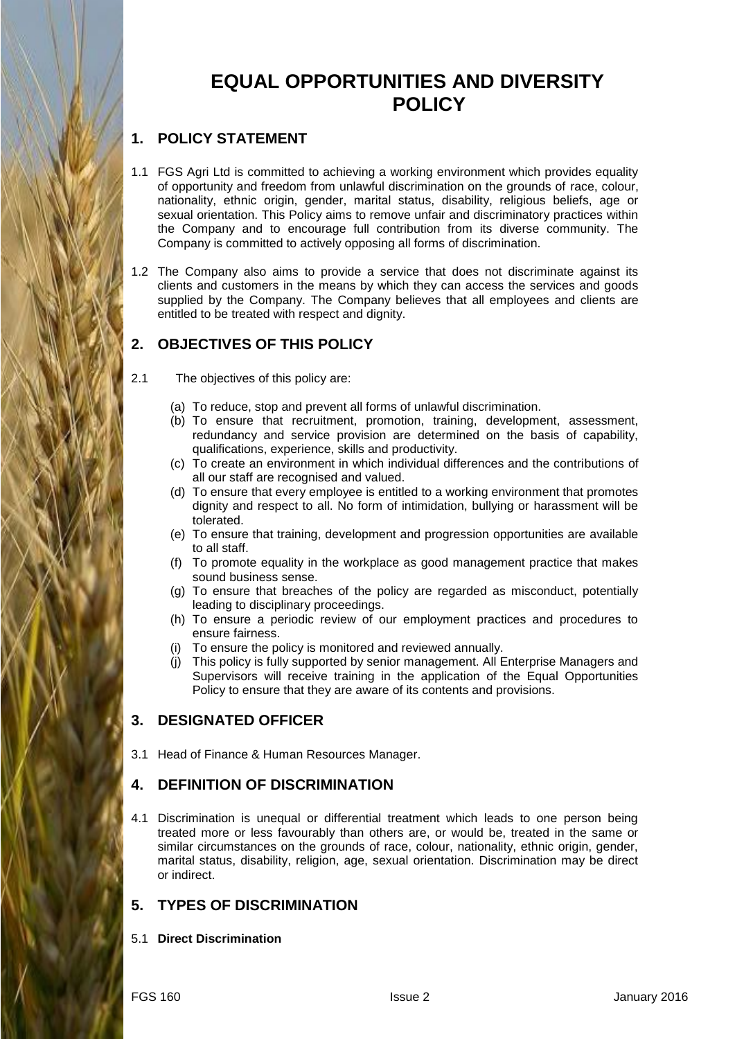# **EQUAL OPPORTUNITIES AND DIVERSITY POLICY**

# **1. POLICY STATEMENT**

- 1.1 FGS Agri Ltd is committed to achieving a working environment which provides equality of opportunity and freedom from unlawful discrimination on the grounds of race, colour, nationality, ethnic origin, gender, marital status, disability, religious beliefs, age or sexual orientation. This Policy aims to remove unfair and discriminatory practices within the Company and to encourage full contribution from its diverse community. The Company is committed to actively opposing all forms of discrimination.
- 1.2 The Company also aims to provide a service that does not discriminate against its clients and customers in the means by which they can access the services and goods supplied by the Company. The Company believes that all employees and clients are entitled to be treated with respect and dignity.

# **2. OBJECTIVES OF THIS POLICY**

- 2.1 The objectives of this policy are:
	- (a) To reduce, stop and prevent all forms of unlawful discrimination.
	- (b) To ensure that recruitment, promotion, training, development, assessment, redundancy and service provision are determined on the basis of capability, qualifications, experience, skills and productivity.
	- (c) To create an environment in which individual differences and the contributions of all our staff are recognised and valued.
	- (d) To ensure that every employee is entitled to a working environment that promotes dignity and respect to all. No form of intimidation, bullying or harassment will be tolerated.
	- (e) To ensure that training, development and progression opportunities are available to all staff.
	- (f) To promote equality in the workplace as good management practice that makes sound business sense.
	- (g) To ensure that breaches of the policy are regarded as misconduct, potentially leading to disciplinary proceedings.
	- (h) To ensure a periodic review of our employment practices and procedures to ensure fairness.
	- (i) To ensure the policy is monitored and reviewed annually.
	- (j) This policy is fully supported by senior management. All Enterprise Managers and Supervisors will receive training in the application of the Equal Opportunities Policy to ensure that they are aware of its contents and provisions.

# **3. DESIGNATED OFFICER**

3.1 Head of Finance & Human Resources Manager.

# **4. DEFINITION OF DISCRIMINATION**

4.1 Discrimination is unequal or differential treatment which leads to one person being treated more or less favourably than others are, or would be, treated in the same or similar circumstances on the grounds of race, colour, nationality, ethnic origin, gender, marital status, disability, religion, age, sexual orientation. Discrimination may be direct or indirect.

# **5. TYPES OF DISCRIMINATION**

5.1 **Direct Discrimination**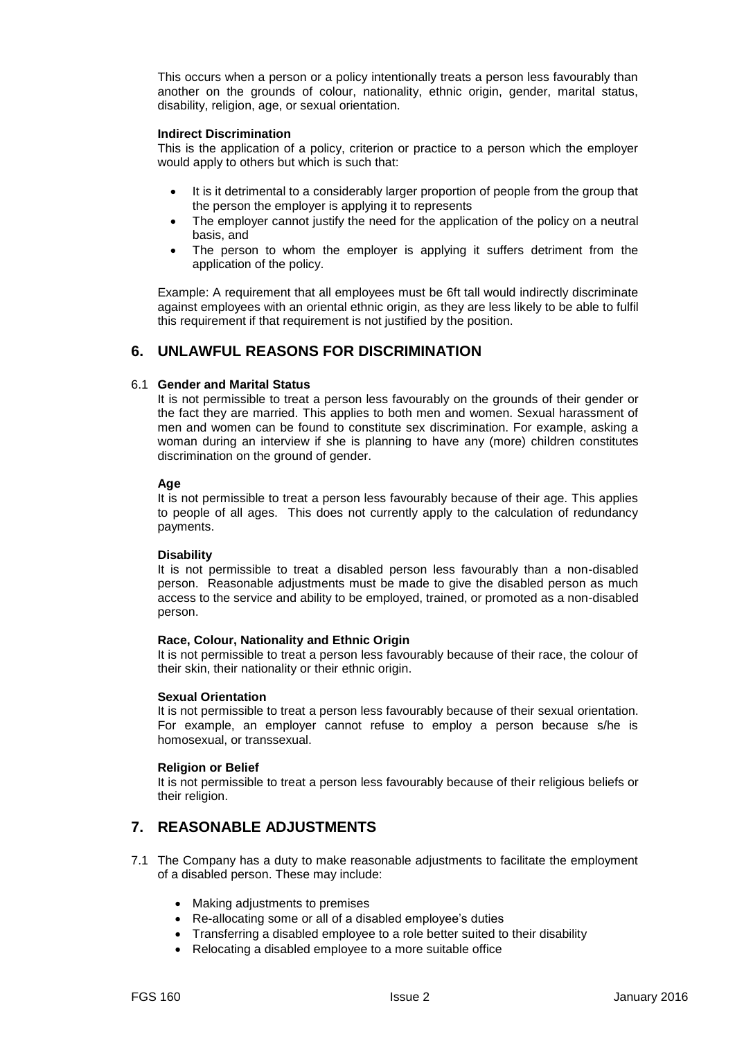This occurs when a person or a policy intentionally treats a person less favourably than another on the grounds of colour, nationality, ethnic origin, gender, marital status, disability, religion, age, or sexual orientation.

#### **Indirect Discrimination**

This is the application of a policy, criterion or practice to a person which the employer would apply to others but which is such that:

- It is it detrimental to a considerably larger proportion of people from the group that the person the employer is applying it to represents
- The employer cannot justify the need for the application of the policy on a neutral basis, and
- The person to whom the employer is applying it suffers detriment from the application of the policy.

Example: A requirement that all employees must be 6ft tall would indirectly discriminate against employees with an oriental ethnic origin, as they are less likely to be able to fulfil this requirement if that requirement is not justified by the position.

# **6. UNLAWFUL REASONS FOR DISCRIMINATION**

#### 6.1 **Gender and Marital Status**

It is not permissible to treat a person less favourably on the grounds of their gender or the fact they are married. This applies to both men and women. Sexual harassment of men and women can be found to constitute sex discrimination. For example, asking a woman during an interview if she is planning to have any (more) children constitutes discrimination on the ground of gender.

#### **Age**

It is not permissible to treat a person less favourably because of their age. This applies to people of all ages. This does not currently apply to the calculation of redundancy payments.

#### **Disability**

It is not permissible to treat a disabled person less favourably than a non-disabled person. Reasonable adjustments must be made to give the disabled person as much access to the service and ability to be employed, trained, or promoted as a non-disabled person.

#### **Race, Colour, Nationality and Ethnic Origin**

It is not permissible to treat a person less favourably because of their race, the colour of their skin, their nationality or their ethnic origin.

#### **Sexual Orientation**

It is not permissible to treat a person less favourably because of their sexual orientation. For example, an employer cannot refuse to employ a person because s/he is homosexual, or transsexual.

#### **Religion or Belief**

It is not permissible to treat a person less favourably because of their religious beliefs or their religion.

### **7. REASONABLE ADJUSTMENTS**

- 7.1 The Company has a duty to make reasonable adjustments to facilitate the employment of a disabled person. These may include:
	- Making adjustments to premises
	- Re-allocating some or all of a disabled employee's duties
	- Transferring a disabled employee to a role better suited to their disability
	- Relocating a disabled employee to a more suitable office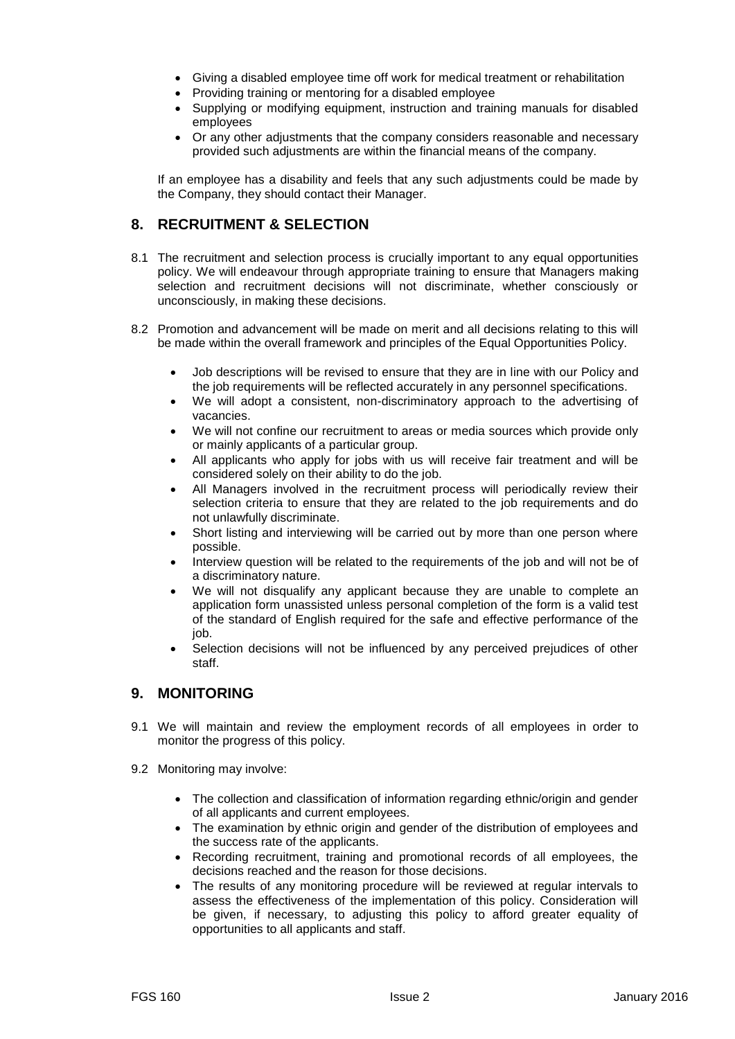- Giving a disabled employee time off work for medical treatment or rehabilitation
- Providing training or mentoring for a disabled employee
- Supplying or modifying equipment, instruction and training manuals for disabled employees
- Or any other adjustments that the company considers reasonable and necessary provided such adjustments are within the financial means of the company.

If an employee has a disability and feels that any such adjustments could be made by the Company, they should contact their Manager.

### **8. RECRUITMENT & SELECTION**

- 8.1 The recruitment and selection process is crucially important to any equal opportunities policy. We will endeavour through appropriate training to ensure that Managers making selection and recruitment decisions will not discriminate, whether consciously or unconsciously, in making these decisions.
- 8.2 Promotion and advancement will be made on merit and all decisions relating to this will be made within the overall framework and principles of the Equal Opportunities Policy.
	- Job descriptions will be revised to ensure that they are in line with our Policy and the job requirements will be reflected accurately in any personnel specifications.
	- We will adopt a consistent, non-discriminatory approach to the advertising of vacancies.
	- We will not confine our recruitment to areas or media sources which provide only or mainly applicants of a particular group.
	- All applicants who apply for jobs with us will receive fair treatment and will be considered solely on their ability to do the job.
	- All Managers involved in the recruitment process will periodically review their selection criteria to ensure that they are related to the job requirements and do not unlawfully discriminate.
	- Short listing and interviewing will be carried out by more than one person where possible.
	- Interview question will be related to the requirements of the job and will not be of a discriminatory nature.
	- We will not disqualify any applicant because they are unable to complete an application form unassisted unless personal completion of the form is a valid test of the standard of English required for the safe and effective performance of the job.
	- Selection decisions will not be influenced by any perceived prejudices of other staff.

### **9. MONITORING**

- 9.1 We will maintain and review the employment records of all employees in order to monitor the progress of this policy.
- 9.2 Monitoring may involve:
	- The collection and classification of information regarding ethnic/origin and gender of all applicants and current employees.
	- The examination by ethnic origin and gender of the distribution of employees and the success rate of the applicants.
	- Recording recruitment, training and promotional records of all employees, the decisions reached and the reason for those decisions.
	- The results of any monitoring procedure will be reviewed at regular intervals to assess the effectiveness of the implementation of this policy. Consideration will be given, if necessary, to adjusting this policy to afford greater equality of opportunities to all applicants and staff.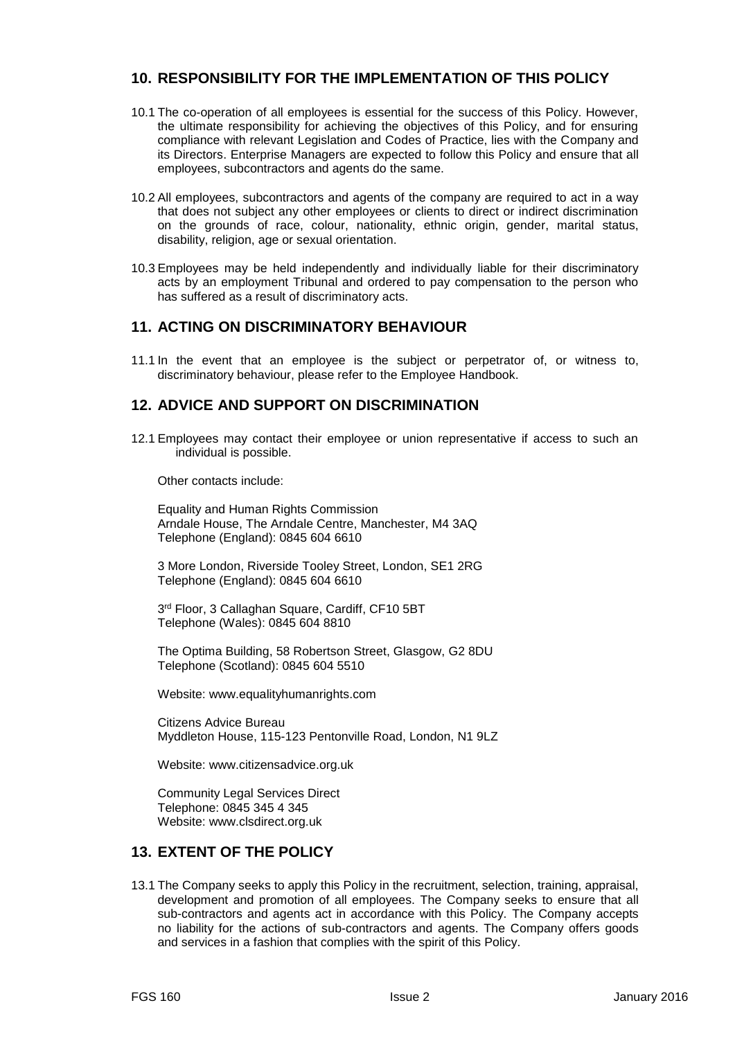# **10. RESPONSIBILITY FOR THE IMPLEMENTATION OF THIS POLICY**

- 10.1 The co-operation of all employees is essential for the success of this Policy. However, the ultimate responsibility for achieving the objectives of this Policy, and for ensuring compliance with relevant Legislation and Codes of Practice, lies with the Company and its Directors. Enterprise Managers are expected to follow this Policy and ensure that all employees, subcontractors and agents do the same.
- 10.2 All employees, subcontractors and agents of the company are required to act in a way that does not subject any other employees or clients to direct or indirect discrimination on the grounds of race, colour, nationality, ethnic origin, gender, marital status, disability, religion, age or sexual orientation.
- 10.3 Employees may be held independently and individually liable for their discriminatory acts by an employment Tribunal and ordered to pay compensation to the person who has suffered as a result of discriminatory acts.

# **11. ACTING ON DISCRIMINATORY BEHAVIOUR**

11.1 In the event that an employee is the subject or perpetrator of, or witness to, discriminatory behaviour, please refer to the Employee Handbook.

# **12. ADVICE AND SUPPORT ON DISCRIMINATION**

12.1 Employees may contact their employee or union representative if access to such an individual is possible.

Other contacts include:

Equality and Human Rights Commission Arndale House, The Arndale Centre, Manchester, M4 3AQ Telephone (England): 0845 604 6610

3 More London, Riverside Tooley Street, London, SE1 2RG Telephone (England): 0845 604 6610

3 rd Floor, 3 Callaghan Square, Cardiff, CF10 5BT Telephone (Wales): 0845 604 8810

The Optima Building, 58 Robertson Street, Glasgow, G2 8DU Telephone (Scotland): 0845 604 5510

Website: www.equalityhumanrights.com

Citizens Advice Bureau Myddleton House, 115-123 Pentonville Road, London, N1 9LZ

Website: www.citizensadvice.org.uk

Community Legal Services Direct Telephone: 0845 345 4 345 Website: www.clsdirect.org.uk

# **13. EXTENT OF THE POLICY**

13.1 The Company seeks to apply this Policy in the recruitment, selection, training, appraisal, development and promotion of all employees. The Company seeks to ensure that all sub-contractors and agents act in accordance with this Policy. The Company accepts no liability for the actions of sub-contractors and agents. The Company offers goods and services in a fashion that complies with the spirit of this Policy.